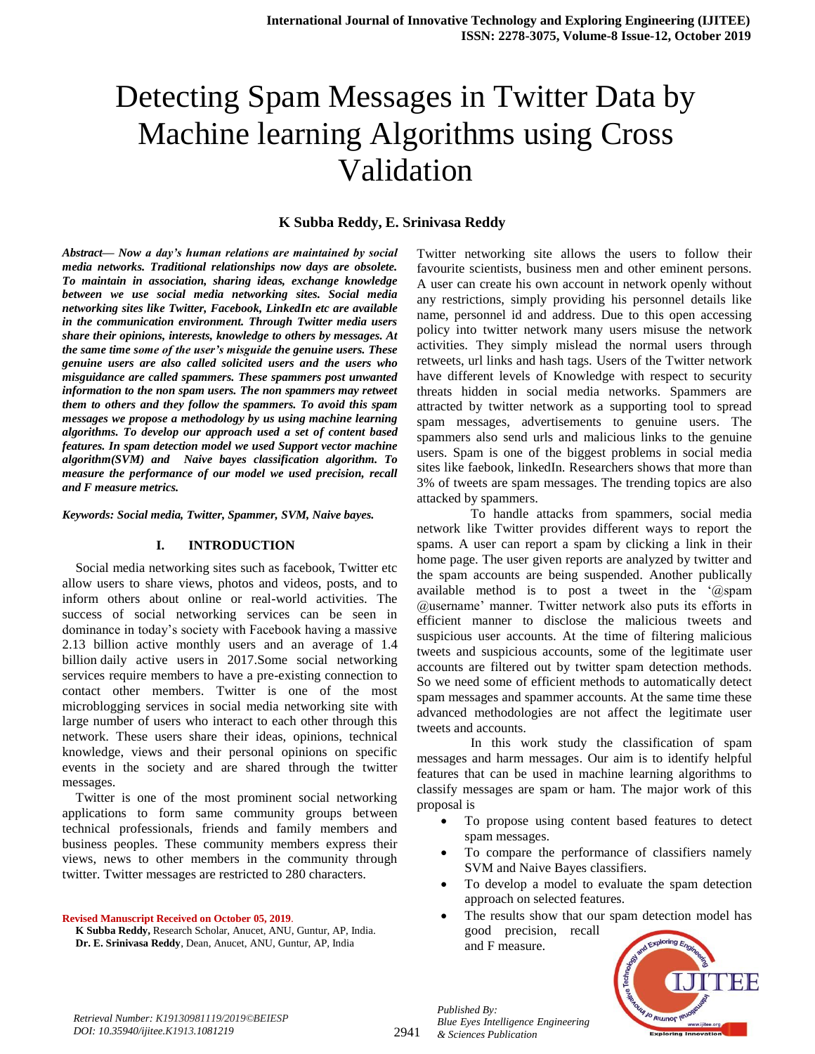# Detecting Spam Messages in Twitter Data by Machine learning Algorithms using Cross Validation

#### **K Subba Reddy, E. Srinivasa Reddy**

*Abstract— Now a day's human relations are maintained by social media networks. Traditional relationships now days are obsolete. To maintain in association, sharing ideas, exchange knowledge between we use social media networking sites. Social media networking sites like Twitter, Facebook, LinkedIn etc are available in the communication environment. Through Twitter media users share their opinions, interests, knowledge to others by messages. At the same time some of the user's misguide the genuine users. These genuine users are also called solicited users and the users who misguidance are called spammers. These spammers post unwanted information to the non spam users. The non spammers may retweet them to others and they follow the spammers. To avoid this spam messages we propose a methodology by us using machine learning algorithms. To develop our approach used a set of content based features. In spam detection model we used Support vector machine algorithm(SVM) and Naive bayes classification algorithm. To measure the performance of our model we used precision, recall and F measure metrics.*

*Keywords: Social media, Twitter, Spammer, SVM, Naive bayes.*

#### **I. INTRODUCTION**

Social media networking sites such as facebook, Twitter etc allow users to share views, photos and videos, posts, and to inform others about online or real-world activities. The success of social networking services can be seen in dominance in today"s society with Facebook having a massive 2.13 billion active monthly users and an average of 1.4 billion [daily active users](https://en.wikipedia.org/wiki/Daily_active_users) in 2017.Some social networking services require members to have a pre-existing connection to contact other members. Twitter is one of the most microblogging services in social media networking site with large number of users who interact to each other through this network. These users share their ideas, opinions, technical knowledge, views and their personal opinions on specific events in the society and are shared through the twitter messages.

Twitter is one of the most prominent social networking applications to form same community groups between technical professionals, friends and family members and business peoples. These community members express their views, news to other members in the community through twitter. Twitter messages are restricted to 280 characters.

**Revised Manuscript Received on October 05, 2019**.

 **K Subba Reddy,** Research Scholar, Anucet, ANU, Guntur, AP, India.  **Dr. E. Srinivasa Reddy**, Dean, Anucet, ANU, Guntur, AP, India

Twitter networking site allows the users to follow their favourite scientists, business men and other eminent persons. A user can create his own account in network openly without any restrictions, simply providing his personnel details like name, personnel id and address. Due to this open accessing policy into twitter network many users misuse the network activities. They simply mislead the normal users through retweets, url links and hash tags. Users of the Twitter network have different levels of Knowledge with respect to security threats hidden in social media networks. Spammers are attracted by twitter network as a supporting tool to spread spam messages, advertisements to genuine users. The spammers also send urls and malicious links to the genuine users. Spam is one of the biggest problems in social media sites like faebook, linkedIn. Researchers shows that more than 3% of tweets are spam messages. The trending topics are also attacked by spammers.

To handle attacks from spammers, social media network like Twitter provides different ways to report the spams. A user can report a spam by clicking a link in their home page. The user given reports are analyzed by twitter and the spam accounts are being suspended. Another publically available method is to post a tweet in the "@spam @username" manner. Twitter network also puts its efforts in efficient manner to disclose the malicious tweets and suspicious user accounts. At the time of filtering malicious tweets and suspicious accounts, some of the legitimate user accounts are filtered out by twitter spam detection methods. So we need some of efficient methods to automatically detect spam messages and spammer accounts. At the same time these advanced methodologies are not affect the legitimate user tweets and accounts.

In this work study the classification of spam messages and harm messages. Our aim is to identify helpful features that can be used in machine learning algorithms to classify messages are spam or ham. The major work of this proposal is

- To propose using content based features to detect spam messages.
- To compare the performance of classifiers namely SVM and Naive Bayes classifiers.
- To develop a model to evaluate the spam detection approach on selected features.
- The results show that our spam detection model has good precision, recall and F measure.



*Published By:*

*& Sciences Publication* 

*Blue Eyes Intelligence Engineering*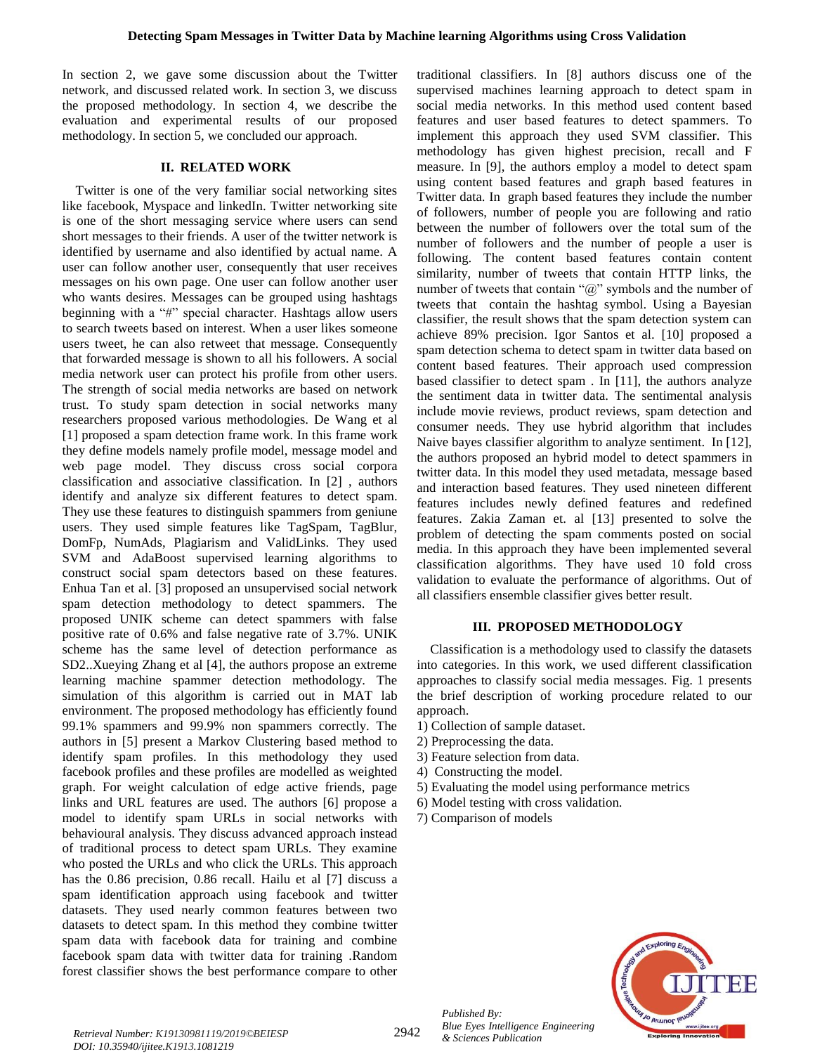In section 2, we gave some discussion about the Twitter network, and discussed related work. In section 3, we discuss the proposed methodology. In section 4, we describe the evaluation and experimental results of our proposed methodology. In section 5, we concluded our approach.

### **II. RELATED WORK**

Twitter is one of the very familiar social networking sites like facebook, Myspace and linkedIn. Twitter networking site is one of the short messaging service where users can send short messages to their friends. A user of the twitter network is identified by username and also identified by actual name. A user can follow another user, consequently that user receives messages on his own page. One user can follow another user who wants desires. Messages can be grouped using hashtags beginning with a "#" special character. Hashtags allow users to search tweets based on interest. When a user likes someone users tweet, he can also retweet that message. Consequently that forwarded message is shown to all his followers. A social media network user can protect his profile from other users. The strength of social media networks are based on network trust. To study spam detection in social networks many researchers proposed various methodologies. De Wang et al [1] proposed a spam detection frame work. In this frame work they define models namely profile model, message model and web page model. They discuss cross social corpora classification and associative classification. In [2] , authors identify and analyze six different features to detect spam. They use these features to distinguish spammers from geniune users. They used simple features like TagSpam, TagBlur, DomFp, NumAds, Plagiarism and ValidLinks. They used SVM and AdaBoost supervised learning algorithms to construct social spam detectors based on these features. Enhua Tan et al. [3] proposed an unsupervised social network spam detection methodology to detect spammers. The proposed UNIK scheme can detect spammers with false positive rate of 0.6% and false negative rate of 3.7%. UNIK scheme has the same level of detection performance as SD2..Xueying Zhang et al [4], the authors propose an extreme learning machine spammer detection methodology. The simulation of this algorithm is carried out in MAT lab environment. The proposed methodology has efficiently found 99.1% spammers and 99.9% non spammers correctly. The authors in [5] present a Markov Clustering based method to identify spam profiles. In this methodology they used facebook profiles and these profiles are modelled as weighted graph. For weight calculation of edge active friends, page links and URL features are used. The authors [6] propose a model to identify spam URLs in social networks with behavioural analysis. They discuss advanced approach instead of traditional process to detect spam URLs. They examine who posted the URLs and who click the URLs. This approach has the 0.86 precision, 0.86 recall. Hailu et al [7] discuss a spam identification approach using facebook and twitter datasets. They used nearly common features between two datasets to detect spam. In this method they combine twitter spam data with facebook data for training and combine facebook spam data with twitter data for training .Random forest classifier shows the best performance compare to other

traditional classifiers. In [8] authors discuss one of the supervised machines learning approach to detect spam in social media networks. In this method used content based features and user based features to detect spammers. To implement this approach they used SVM classifier. This methodology has given highest precision, recall and F measure. In [9], the authors employ a model to detect spam using content based features and graph based features in Twitter data. In graph based features they include the number of followers, number of people you are following and ratio between the number of followers over the total sum of the number of followers and the number of people a user is following. The content based features contain content similarity, number of tweets that contain HTTP links, the number of tweets that contain "@" symbols and the number of tweets that contain the hashtag symbol. Using a Bayesian classifier, the result shows that the spam detection system can achieve 89% precision. Igor Santos et al. [10] proposed a spam detection schema to detect spam in twitter data based on content based features. Their approach used compression based classifier to detect spam . In [11], the authors analyze the sentiment data in twitter data. The sentimental analysis include movie reviews, product reviews, spam detection and consumer needs. They use hybrid algorithm that includes Naive bayes classifier algorithm to analyze sentiment. In [12], the authors proposed an hybrid model to detect spammers in twitter data. In this model they used metadata, message based and interaction based features. They used nineteen different features includes newly defined features and redefined features. Zakia Zaman et. al [13] presented to solve the problem of detecting the spam comments posted on social media. In this approach they have been implemented several classification algorithms. They have used 10 fold cross validation to evaluate the performance of algorithms. Out of all classifiers ensemble classifier gives better result.

#### **III. PROPOSED METHODOLOGY**

Classification is a methodology used to classify the datasets into categories. In this work, we used different classification approaches to classify social media messages. Fig. 1 presents the brief description of working procedure related to our approach.

- 1) Collection of sample dataset.
- 2) Preprocessing the data.
- 3) Feature selection from data.
- 4) Constructing the model.
- 5) Evaluating the model using performance metrics
- 6) Model testing with cross validation.
- 7) Comparison of models



*Retrieval Number: K19130981119/2019©BEIESP* 2942 *DOI: 10.35940/ijitee.K1913.1081219*

*Published By: Blue Eyes Intelligence Engineering & Sciences Publication*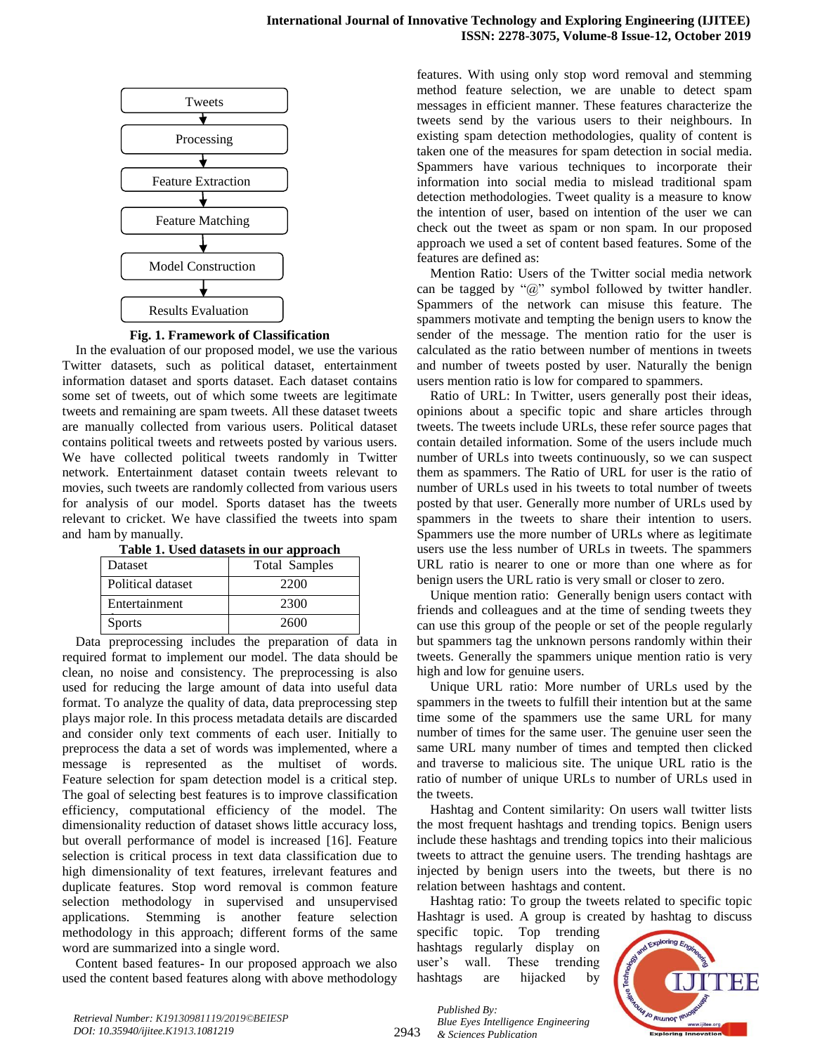

**Fig. 1. Framework of Classification**

In the evaluation of our proposed model, we use the various Twitter datasets, such as political dataset, entertainment information dataset and sports dataset. Each dataset contains some set of tweets, out of which some tweets are legitimate tweets and remaining are spam tweets. All these dataset tweets are manually collected from various users. Political dataset contains political tweets and retweets posted by various users. We have collected political tweets randomly in Twitter network. Entertainment dataset contain tweets relevant to movies, such tweets are randomly collected from various users for analysis of our model. Sports dataset has the tweets relevant to cricket. We have classified the tweets into spam and ham by manually.

|  |  | Table 1. Used datasets in our approach |  |  |
|--|--|----------------------------------------|--|--|
|--|--|----------------------------------------|--|--|

| Dataset           | <b>Total Samples</b> |
|-------------------|----------------------|
| Political dataset | 2200                 |
| Entertainment     | 2300                 |
| <b>Sports</b>     | 2600                 |

Data preprocessing includes the preparation of data in required format to implement our model. The data should be clean, no noise and consistency. The preprocessing is also used for reducing the large amount of data into useful data format. To analyze the quality of data, data preprocessing step plays major role. In this process metadata details are discarded and consider only text comments of each user. Initially to preprocess the data a set of words was implemented, where a message is represented as the multiset of words. Feature selection for spam detection model is a critical step. The goal of selecting best features is to improve classification efficiency, computational efficiency of the model. The dimensionality reduction of dataset shows little accuracy loss, but overall performance of model is increased [16]. Feature selection is critical process in text data classification due to high dimensionality of text features, irrelevant features and duplicate features. Stop word removal is common feature selection methodology in supervised and unsupervised applications. Stemming is another feature selection methodology in this approach; different forms of the same word are summarized into a single word.

Content based features- In our proposed approach we also used the content based features along with above methodology features. With using only stop word removal and stemming method feature selection, we are unable to detect spam messages in efficient manner. These features characterize the tweets send by the various users to their neighbours. In existing spam detection methodologies, quality of content is taken one of the measures for spam detection in social media. Spammers have various techniques to incorporate their information into social media to mislead traditional spam detection methodologies. Tweet quality is a measure to know the intention of user, based on intention of the user we can check out the tweet as spam or non spam. In our proposed approach we used a set of content based features. Some of the features are defined as:

Mention Ratio: Users of the Twitter social media network can be tagged by " $@$ " symbol followed by twitter handler. Spammers of the network can misuse this feature. The spammers motivate and tempting the benign users to know the sender of the message. The mention ratio for the user is calculated as the ratio between number of mentions in tweets and number of tweets posted by user. Naturally the benign users mention ratio is low for compared to spammers.

Ratio of URL: In Twitter, users generally post their ideas, opinions about a specific topic and share articles through tweets. The tweets include URLs, these refer source pages that contain detailed information. Some of the users include much number of URLs into tweets continuously, so we can suspect them as spammers. The Ratio of URL for user is the ratio of number of URLs used in his tweets to total number of tweets posted by that user. Generally more number of URLs used by spammers in the tweets to share their intention to users. Spammers use the more number of URLs where as legitimate users use the less number of URLs in tweets. The spammers URL ratio is nearer to one or more than one where as for benign users the URL ratio is very small or closer to zero.

Unique mention ratio: Generally benign users contact with friends and colleagues and at the time of sending tweets they can use this group of the people or set of the people regularly but spammers tag the unknown persons randomly within their tweets. Generally the spammers unique mention ratio is very high and low for genuine users.

Unique URL ratio: More number of URLs used by the spammers in the tweets to fulfill their intention but at the same time some of the spammers use the same URL for many number of times for the same user. The genuine user seen the same URL many number of times and tempted then clicked and traverse to malicious site. The unique URL ratio is the ratio of number of unique URLs to number of URLs used in the tweets.

Hashtag and Content similarity: On users wall twitter lists the most frequent hashtags and trending topics. Benign users include these hashtags and trending topics into their malicious tweets to attract the genuine users. The trending hashtags are injected by benign users into the tweets, but there is no relation between hashtags and content.

Hashtag ratio: To group the tweets related to specific topic Hashtagr is used. A group is created by hashtag to discuss

specific topic. Top trending hashtags regularly display on user"s wall. These trending hashtags are hijacked by



2943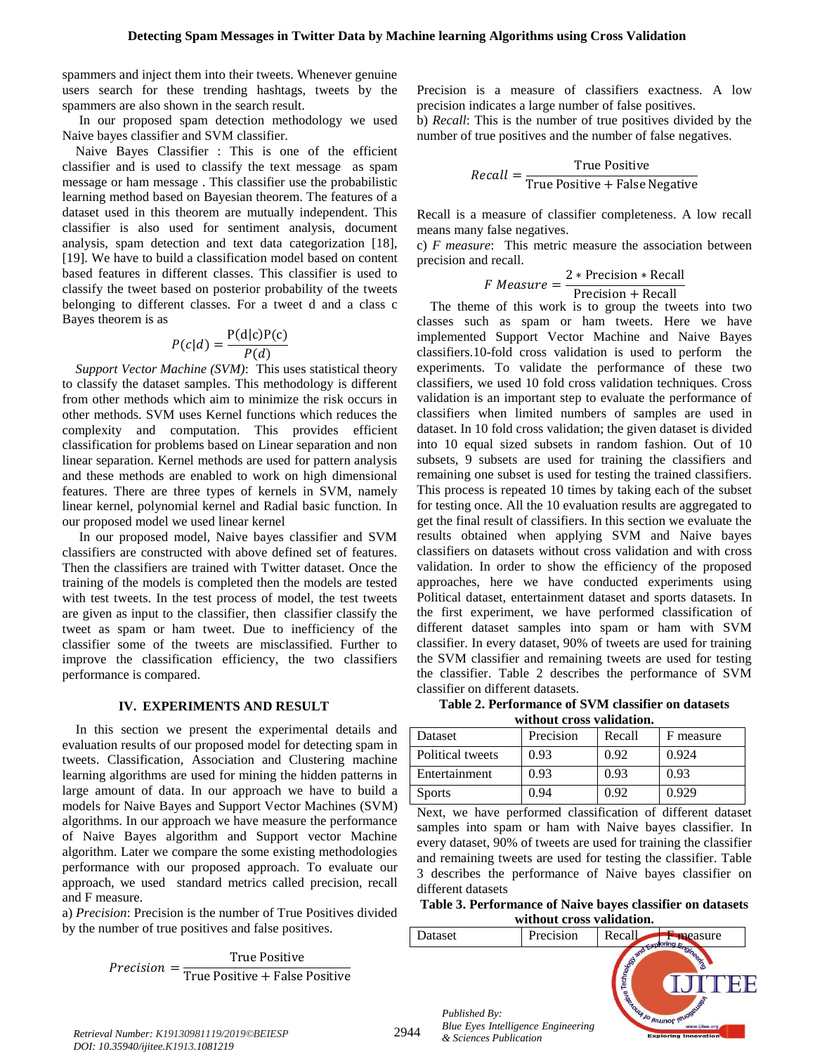spammers and inject them into their tweets. Whenever genuine users search for these trending hashtags, tweets by the spammers are also shown in the search result.

In our proposed spam detection methodology we used Naive bayes classifier and SVM classifier.

Naive Bayes Classifier : This is one of the efficient classifier and is used to classify the text message as spam message or ham message . This classifier use the probabilistic learning method based on Bayesian theorem. The features of a dataset used in this theorem are mutually independent. This classifier is also used for sentiment analysis, document analysis, spam detection and text data categorization [18], [19]. We have to build a classification model based on content based features in different classes. This classifier is used to classify the tweet based on posterior probability of the tweets belonging to different classes. For a tweet d and a class c Bayes theorem is as

$$
P(c|d) = \frac{P(d|c)P(c)}{P(d)}
$$

*Support Vector Machine (SVM)*: This uses statistical theory to classify the dataset samples. This methodology is different from other methods which aim to minimize the risk occurs in other methods. SVM uses Kernel functions which reduces the complexity and computation. This provides efficient classification for problems based on Linear separation and non linear separation. Kernel methods are used for pattern analysis and these methods are enabled to work on high dimensional features. There are three types of kernels in SVM, namely linear kernel, polynomial kernel and Radial basic function. In our proposed model we used linear kernel

In our proposed model, Naive bayes classifier and SVM classifiers are constructed with above defined set of features. Then the classifiers are trained with Twitter dataset. Once the training of the models is completed then the models are tested with test tweets. In the test process of model, the test tweets are given as input to the classifier, then classifier classify the tweet as spam or ham tweet. Due to inefficiency of the classifier some of the tweets are misclassified. Further to improve the classification efficiency, the two classifiers performance is compared.

#### **IV. EXPERIMENTS AND RESULT**

In this section we present the experimental details and evaluation results of our proposed model for detecting spam in tweets. Classification, Association and Clustering machine learning algorithms are used for mining the hidden patterns in large amount of data. In our approach we have to build a models for Naive Bayes and Support Vector Machines (SVM) algorithms. In our approach we have measure the performance of Naive Bayes algorithm and Support vector Machine algorithm. Later we compare the some existing methodologies performance with our proposed approach. To evaluate our approach, we used standard metrics called precision, recall and F measure.

a) *Precision*: Precision is the number of True Positives divided by the number of true positives and false positives.

> $Precision = \frac{True \ Positive}{True \ Positive \ L \ F}$ True Positive+ False Positive

Precision is a measure of classifiers exactness. A low precision indicates a large number of false positives.

b) *Recall*: This is the number of true positives divided by the number of true positives and the number of false negatives.

$$
Recall = \frac{True \ Positive}{True \ Positive + False \ Negative}
$$

Recall is a measure of classifier completeness. A low recall means many false negatives.

c) *F measure*: This metric measure the association between precision and recall.

*F Measure* = 
$$
\frac{2 * Precision * Recall}{Precision + Recall}
$$

The theme of this work is to group the tweets into two classes such as spam or ham tweets. Here we have implemented Support Vector Machine and Naive Bayes classifiers.10-fold cross validation is used to perform the experiments. To validate the performance of these two classifiers, we used 10 fold cross validation techniques. Cross validation is an important step to evaluate the performance of classifiers when limited numbers of samples are used in dataset. In 10 fold cross validation; the given dataset is divided into 10 equal sized subsets in random fashion. Out of 10 subsets, 9 subsets are used for training the classifiers and remaining one subset is used for testing the trained classifiers. This process is repeated 10 times by taking each of the subset for testing once. All the 10 evaluation results are aggregated to get the final result of classifiers. In this section we evaluate the results obtained when applying SVM and Naive bayes classifiers on datasets without cross validation and with cross validation. In order to show the efficiency of the proposed approaches, here we have conducted experiments using Political dataset, entertainment dataset and sports datasets. In the first experiment, we have performed classification of different dataset samples into spam or ham with SVM classifier. In every dataset, 90% of tweets are used for training the SVM classifier and remaining tweets are used for testing the classifier. Table 2 describes the performance of SVM classifier on different datasets.

**Table 2. Performance of SVM classifier on datasets without cross validation.**

| Dataset          | Precision | Recall | F measure |  |  |  |  |
|------------------|-----------|--------|-----------|--|--|--|--|
| Political tweets | 0.93      | 0.92   | 0.924     |  |  |  |  |
| Entertainment    | 0.93      | 0.93   | 0.93      |  |  |  |  |
| <b>Sports</b>    | 0.94      | 0.92   | 0.929     |  |  |  |  |

Next, we have performed classification of different dataset samples into spam or ham with Naive bayes classifier. In every dataset, 90% of tweets are used for training the classifier and remaining tweets are used for testing the classifier. Table 3 describes the performance of Naive bayes classifier on different datasets

| Table 3. Performance of Naive bayes classifier on datasets |  |
|------------------------------------------------------------|--|
| without cross validation.                                  |  |

|                                                           | ,,,,,,,,,,,,,,,,,,,,,,,,,,,,,,,,, |                                                   |                                                                           |
|-----------------------------------------------------------|-----------------------------------|---------------------------------------------------|---------------------------------------------------------------------------|
| Dataset                                                   | Precision                         | Recall                                            | measure<br>$\sim$ noring $\approx$                                        |
| Published By:<br>Blue Eyes Intelligence Engineering<br>44 |                                   | Technology and E<br><b>SEAST AND A PULLINOF .</b> | mgineering<br>IEUOREUSST<br>www.ijitee.org<br><b>Exploring Innovation</b> |

*Retrieval Number: K19130981119/2019©BEIESP* 2944 *DOI: 10.35940/ijitee.K1913.1081219*

*& Sciences Publication*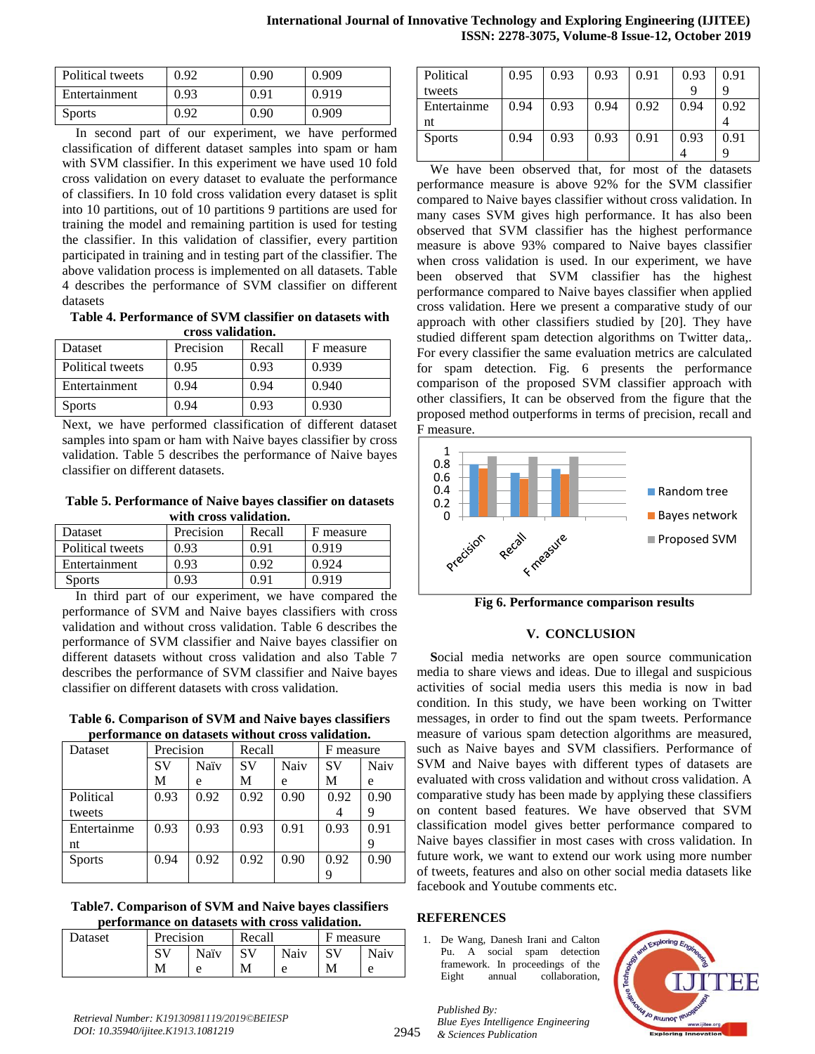| Political tweets | 0.92 | 0.90 | 0.909 |
|------------------|------|------|-------|
| Entertainment    | 0.93 | 0.91 | 0.919 |
| <b>Sports</b>    | 0.92 | 0.90 | 0.909 |

In second part of our experiment, we have performed classification of different dataset samples into spam or ham with SVM classifier. In this experiment we have used 10 fold cross validation on every dataset to evaluate the performance of classifiers. In 10 fold cross validation every dataset is split into 10 partitions, out of 10 partitions 9 partitions are used for training the model and remaining partition is used for testing the classifier. In this validation of classifier, every partition participated in training and in testing part of the classifier. The above validation process is implemented on all datasets. Table 4 describes the performance of SVM classifier on different datasets

**Table 4. Performance of SVM classifier on datasets with cross validation.**

| <b>Dataset</b>   | Precision | Recall | F measure |
|------------------|-----------|--------|-----------|
| Political tweets | 0.95      | 0.93   | 0.939     |
| Entertainment    | 0.94      | 0.94   | 0.940     |
| <b>Sports</b>    | 0.94      | 0.93   | 0.930     |

Next, we have performed classification of different dataset samples into spam or ham with Naive bayes classifier by cross validation. Table 5 describes the performance of Naive bayes classifier on different datasets.

**Table 5. Performance of Naive bayes classifier on datasets with cross validation.**

| Dataset          | Precision | Recall | F measure |
|------------------|-----------|--------|-----------|
| Political tweets | 0.93      | በ 91   | 0.919     |
| Entertainment    | 0.93      | 0.92   | 0.924     |
| <b>Sports</b>    | በ 93      | በ 91   | 0.919     |

In third part of our experiment, we have compared the performance of SVM and Naive bayes classifiers with cross validation and without cross validation. Table 6 describes the performance of SVM classifier and Naive bayes classifier on different datasets without cross validation and also Table 7 describes the performance of SVM classifier and Naive bayes classifier on different datasets with cross validation.

**Table 6. Comparison of SVM and Naive bayes classifiers performance on datasets without cross validation.**

| Dataset       | Precision<br>Recall |      | F measure |      |      |      |
|---------------|---------------------|------|-----------|------|------|------|
|               | SV                  | Naïv | SV        | Naiv | SV   | Naiv |
|               | М                   | e    | М         | e    | М    | e    |
| Political     | 0.93                | 0.92 | 0.92      | 0.90 | 0.92 | 0.90 |
| tweets        |                     |      |           |      |      | 9    |
| Entertainme   | 0.93                | 0.93 | 0.93      | 0.91 | 0.93 | 0.91 |
| nt            |                     |      |           |      |      |      |
| <b>Sports</b> | 0.94                | 0.92 | 0.92      | 0.90 | 0.92 | 0.90 |
|               |                     |      |           |      |      |      |

**Table7. Comparison of SVM and Naive bayes classifiers performance on datasets with cross validation.**

| <b>Dataset</b> | Precision |        | Recall |      | measure |      |
|----------------|-----------|--------|--------|------|---------|------|
|                | ΠT<br>ມ   | Naïv   |        | Naiv |         | Naiv |
|                | M         | $\sim$ | М      | e    | M       | e    |

| Political     | 0.95 | 0.93 | 0.93 | 0.91 | 0.93 | 0.91 |
|---------------|------|------|------|------|------|------|
| tweets        |      |      |      |      | q    |      |
| Entertainme   | 0.94 | 0.93 | 0.94 | 0.92 | 0.94 | 0.92 |
| nt            |      |      |      |      |      |      |
| <b>Sports</b> | 0.94 | 0.93 | 0.93 | 0.91 | 0.93 | 0.91 |
|               |      |      |      |      |      |      |

We have been observed that, for most of the datasets performance measure is above 92% for the SVM classifier compared to Naive bayes classifier without cross validation. In many cases SVM gives high performance. It has also been observed that SVM classifier has the highest performance measure is above 93% compared to Naive bayes classifier when cross validation is used. In our experiment, we have been observed that SVM classifier has the highest performance compared to Naive bayes classifier when applied cross validation. Here we present a comparative study of our approach with other classifiers studied by [20]. They have studied different spam detection algorithms on Twitter data,. For every classifier the same evaluation metrics are calculated for spam detection. Fig. 6 presents the performance comparison of the proposed SVM classifier approach with other classifiers, It can be observed from the figure that the proposed method outperforms in terms of precision, recall and F measure.



**Fig 6. Performance comparison results**

# **V. CONCLUSION**

**S**ocial media networks are open source communication media to share views and ideas. Due to illegal and suspicious activities of social media users this media is now in bad condition. In this study, we have been working on Twitter messages, in order to find out the spam tweets. Performance measure of various spam detection algorithms are measured, such as Naive bayes and SVM classifiers. Performance of SVM and Naive bayes with different types of datasets are evaluated with cross validation and without cross validation. A comparative study has been made by applying these classifiers on content based features. We have observed that SVM classification model gives better performance compared to Naive bayes classifier in most cases with cross validation. In future work, we want to extend our work using more number of tweets, features and also on other social media datasets like facebook and Youtube comments etc.

# **REFERENCES**

1. De Wang, Danesh Irani and Calton Pu. A social spam detection framework. In proceedings of the Eight annual collaboration,

*Published By: Blue Eyes Intelligence Engineering & Sciences Publication* 



2945